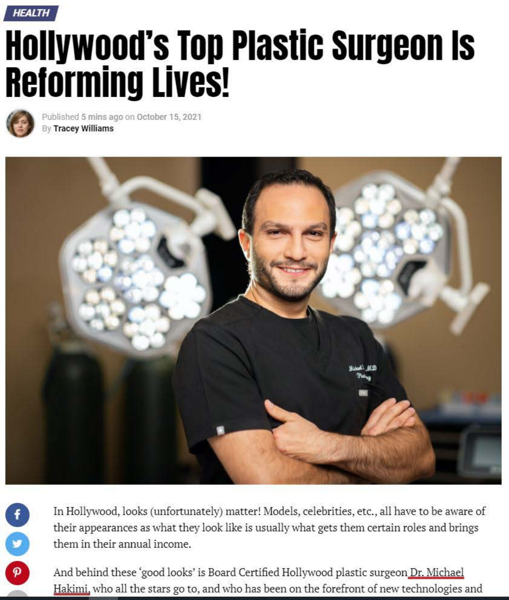

# **Hollywood's Top Plastic surgeon Is Reforming Lives!**



**0** 

**0** 

 $\theta$ 

Published 5 mins ago on October 15, 2021 By Tracey Williams



In Hollywood, looks (unfortunately) matter! Models, celebrities, etc., all have to be aware of their appearances as what they look like is usually what gets them certain roles and brings them in their annual income.

And behind these 'good looks' is Board Certified Hollywood plastic surgeon Dr. Michael Hakimi. who all the stars go to, and who has been on the forefront of new technologies and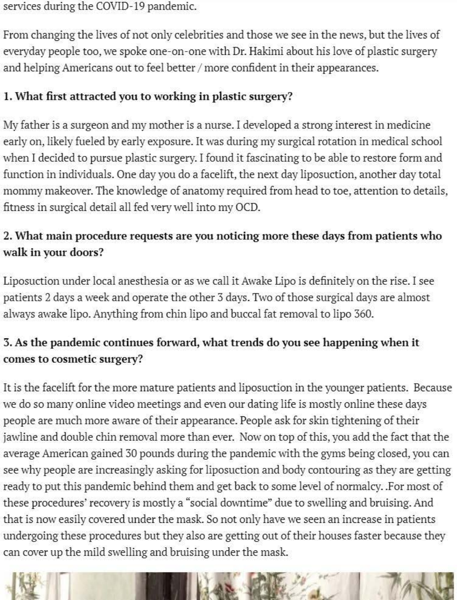services during the COVID-19 pandemic.

From changing the lives of not only celebrities and those we see in the news, but the lives of everyday people too, we spoke one-on-one with Dr. Hakimi about his love of plastic surgery and helping Americans out to feel better/ more confident in their appearances.

## I. **What first attracted you to working in plastic surgery?**

My father is a surgeon and my mother is a nurse. I developed a strong interest in medicine early on, likely fueled by early exposure. It was during my surgical rotation in medical school when I decided to pursue plastic surgery. I found it fascinating to be able to restore form and function in individuals. One day you do a facelift, the next day liposuction, another day total mommy makeover. The knowledge of anatomy required from head to toe, attention to details, fitness in surgical detail all fed very well into my OCD.

## 2. What main procedure requests are you noticing more these days from patients who **walk in your doors?**

Liposuction under local anesthesia or as we call it Awake Lipo is definitely on the rise. I see patients 2 days a week and operate the other 3 days. Two of those surgical days are almost always awake lipo. Anything from chin lipo and buccal fat removal to lipo 360.

## **3. As the pandemic continues forward, what trends do you see happening when it comes to cosmetic surgery?**

It is the facelift for the more mature patients and liposuction in the younger patients. Because we do so many online video meetings and even our dating life is mostly online these days people are much more aware of their appearance. People ask for skin tightening of their jawline and double chin removal more than ever. Now on top of this, you add the fact that the average American gained 30 pounds during the pandemic with the gyms being closed, you can see why people are increasingly asking for liposuction and body contouring as they are getting ready to put this pandemic behind them and get back to some level of normalcy. .For most of these procedures' recovery is mostly a "social downtime" due to swelling and bruising. And that is now easily covered under the mask. So not only have we seen an increase in patients undergoing these procedures but they also are getting out of their houses faster because they can cover up the mild swelling and bruising under the mask.

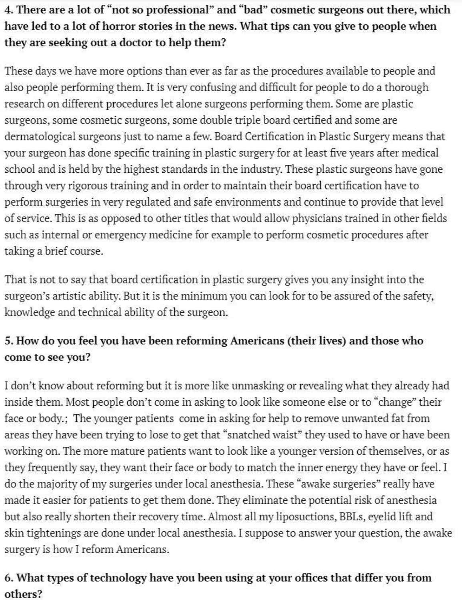## **4. There are** a **lot of "not so professional" and "bad" cosmetic surgeons out there, which have led to a lot of horror stories in the news. What tips can you give to people when they are seeking out a doctor to help them?**

These days we have more options than ever as far as the procedures available to people and also people performing them. It is very confusing and difficult for people to do a thorough research on different procedures let alone surgeons performing them. Some are plastic surgeons, some cosmetic surgeons, some double triple board certified and some are dermatological surgeons just to name a few. Board Certification in Plastic Surgery means that your surgeon has done specific training in plastic surgery for at least five years after medical school and is held by the highest standards in the industry. These plastic surgeons have gone through very rigorous training and in order to maintain their board certification have to perform surgeries in very regulated and safe environments and continue to provide that level of service. This is as opposed to other titles that would allow physicians trained in other fields such as internal or emergency medicine for example to perform cosmetic procedures after taking a brief course.

That is not to say that board certification in plastic surgery gives you any insight into the surgeon's artistic ability. But it is the minimum you can look for to be assured of the safety, knowledge and technical ability of the surgeon.

## **5. How do you feel you have been refonning Ameiicans (their lives) and those who come** to **see you?**

I don't know about reforming but it is more like unmasking or revealing what they already had inside them. Most people don't come in asking to look like someone else or to "change" their face or body.; The younger patients come in asking for help to remove unwanted fat from areas they have been trying to lose to get that "snatched waist" they used to have or have been working on. The more mature patients want to look like a younger version of themselves, or as they frequently say, they want their face or body to match the inner energy they have or feel. I do the majority of my surgeries under local anesthesia. These "awake surgeries" really have made it easier for patients to get them done. They eliminate the potential risk of anesthesia but also really shorten their recovery time. Almost all my liposuctions, BBLs, eyelid lift and skin tightenings are done under local anesthesia. I suppose to answer your question, the awake surgery is how I reform Americans.

### 6. **What types of technology have you been using at your offices that differ you frotn others?**